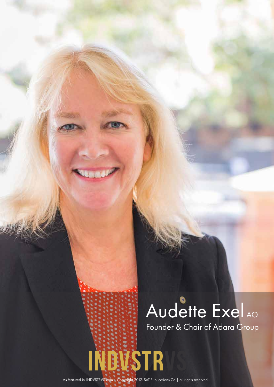## Founder & Chair of Adara Group Audette Exel AO

As featured in INDVSTRVS.com | Copyright 2017. SoT Publications Co | all rights reserved.

INDUSTR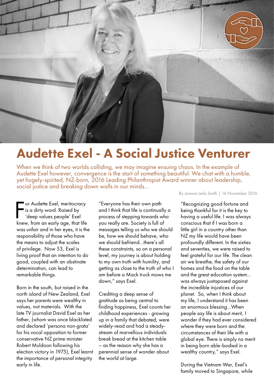

## Audette Exel - A Social Justice Venturer

When we think of two worlds colliding, we may imagine ensuing chaos. In the example of Audette Exel however, convergence is the start of something beautiful. We chat with a humble, yet hugely-spirited, NZ-born, 2016 Leading Philanthropist Award winner about leadership, social justice and breaking down walls in our minds...

For Audette Exel, meritocracy<br>is a dirty word. Raised by<br>'deep values people' Exel<br>knew, from an early age, that life or Audette Exel, meritocracy is a dirty word. Raised by 'deep values people' Exel was unfair and in her eyes, it is the responsibility of those who have the means to adjust the scales of privilege. Now 53, Exel is living proof that an intention to do good, coupled with an obstinate determination, can lead to remarkable things.

Born in the south, but raised in the north island of New Zealand, Exel says her parents were wealthy in values, not materials. With the late TV journalist David Exel as her father, (whom was once blacklisted and declared 'persona non-grata' for his vocal opposition to former conservative NZ prime minister Robert Muldoon following his election victory in 1975), Exel learnt the importance of personal integrity early in life.

"Everyone has their own path and I think that life is continually a process of stepping towards who you really are. Society is full of messages telling us who we should be, how we should behave, who we should befriend…there's all these constraints, so on a personal level, my journey is about holding to my own truth with humility, and getting as close to the truth of who I am before a Mack truck mows me down," says Exel.

Crediting a deep sense of gratitude as being central to finding happiness, Exel counts her childhood experiences - growing up in a family that debated, were widely-read and had a steadystream of marvellous individuals break bread at the kitchen table – as the reason why she has a perennial sense of wonder about the world at large.

By Joanne Leila Smith | 16 November 2016

"Recognizing good fortune and being thankful for it is the key to having a useful life. I was always conscious that if I was born a little girl in a country other than NZ my life would have been profoundly different. In the sixties and seventies, we were raised to feel grateful for our life. The clean air we breathe, the safety of our homes and the food on the table and the great education system... was always juxtaposed against the incredible injustices of our planet. So, when I think about my life, I understand it has been an enormous blessing…When people say life is about merit, I wonder if they had ever considered where they were born and the circumstances of their life with a global eye. There is simply no merit in being born able-bodied in a wealthy country," says Exel.

During the Vietnam War, Exel's family moved to Singapore, while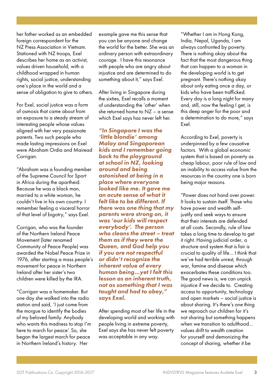her father worked as an embedded foreign correspondent for the NZ Press Association in Vietnam. Stationed with NZ troops, Exel describes her home as an activist, values driven household, with a childhood wrapped in human rights, social justice, understanding one's place in the world and a sense of obligation to give to others.

For Exel, social justice was a form of osmosis that came about from an exposure to a steady stream of interesting people whose values aligned with her very passionate parents. Two such people who made lasting impressions on Exel were Abraham Ordia and Mairead Corrigan.

"Abraham was a founding member of the Supreme Council for Sport in Africa during the apartheid. Because he was a black man, married to a white woman, he couldn't live in his own country. I remember feeling a visceral horror of that level of bigotry," says Exel.

Corrigan, who was the founder of the Northern Ireland Peace Movement (later renamed Community of Peace People) was awarded the Nobel Peace Prize in 1976, after starting a mass people's movement for peace in Northern Ireland after her sister's two children were killed by the IRA.

"Corrigan was a homemaker. But one day she walked into the radio station and said, 'I just come from the morgue to identify the bodies of my beloved family. Anybody who wants this madness to stop I'm here to march for peace'. So, she began the largest march for peace in Northern Ireland's history. Her

example gave me this sense that you can be anyone and change the world for the better. She was an ordinary person with extraordinary courage. I have this resonance with people who are angry about injustice and are determined to do something about it," says Exel.

After living in Singapore during the sixties, Exel recalls a moment of understanding the 'other' when she returned home to NZ – a sense which Exel says has never left her.

*"In Singapore I was the 'little blondie' among Malay and Singaporean kids and I remember going back to the playground at school in NZ, looking around and being astonished at being in a place where everyone looked like me. It gave me an acute sense of what it felt like to be different. If there was one thing that my parents were strong on, it was 'our kids will respect everybody'. The person who cleans the street – treat them as if they were the Queen, and God help you if you are not respectful or didn't recognize the inherent value of every human being…yet I felt this lesson as an inherent truth, not as something that I was taught and had to obey," says Exel.*

After spending most of her life in the developing world and working with people living in extreme poverty, Exel says she has never felt poverty was acceptable in any way.

"Whether I am in Hong Kong, India, Nepal, Uganda, I am always confronted by poverty. There is nothing okay about the fact that the most dangerous thing that can happen to a woman in the developing world is to get pregnant. There's nothing okay about only eating once a day, or kids who have been trafficked. Every day is a long night for many and, still, now the feeling I get, is this deep anger for the poor and a determination to do more," says Exel.

According to Exel, poverty is underpinned by a few causative factors. With a global economic system that is based on poverty as cheap labour, poor rule of law and an inability to access value from the resources in the country one is born being major reasons.

"Power does not hand over power. It looks to sustain itself. Those who have power and wealth selfjustify and seek ways to ensure that their interests are defended at all costs. Secondly, rule of law takes a long time to develop to get it right. Having judicial order, a structure and system that is fair is crucial to quality of life… I think that we've had terrible unrest, through war, famine and disease which exacerbates these conditions too. The good news is, we can unpick injustice if we decide to. Creating access to opportunity, technology and open markets – social justice is about sharing. It's there's one thing we reproach our children for it's not sharing but something happens when we transition to adulthood... values drift to wealth creation for yourself and demonizing the concept of sharing, whether it be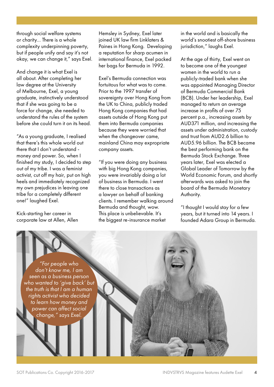through social welfare systems or charity… There is a whole complexity underpinning poverty, but if people unify and say it's not okay, we can change it," says Exel.

And change it is what Exel is all about. After completing her law degree at the University of Melbourne, Exel, a young graduate, instinctively understood that if she was going to be a force for change, she needed to understand the rules of the system before she could turn it on its head.

"As a young graduate, I realised that there's this whole world out there that I don't understand money and power. So, when I finished my study, I decided to step out of my tribe. I was a feminist activist, cut off my hair, put on high heels and immediately recognized my own prejudices in leaving one tribe for a completely different one!" laughed Exel.

Kick-starting her career in corporate law at Allen, Allen Hemsley in Sydney, Exel later joined UK law firm Linklaters & Paines in Hong Kong. Developing a reputation for sharp acumen in international finance, Exel packed her bags for Bermuda in 1992.

Exel's Bermuda connection was fortuitous for what was to come. Prior to the 1997 transfer of sovereignty over Hong Kong from the UK to China, publicly traded Hong Kong companies that had assets outside of Hong Kong put them into Bermuda companies because they were worried that when the changeover came, mainland China may expropriate company assets.

"If you were doing any business with big Hong Kong companies, you were invariably doing a lot of business in Bermuda. I went there to close transactions as a lawyer on behalf of banking clients. I remember walking around Bermuda and thought, wow. This place is unbelievable. It's the biggest re-insurance market

in the world and is basically the world's snootiest off-shore business jurisdiction," laughs Exel.

At the age of thirty, Exel went on to become one of the youngest women in the world to run a publicly-traded bank when she was appointed Managing Director of Bermuda Commercial Bank (BCB). Under her leadership, Exel managed to return an average increase in profits of over 75 percent p.a., increasing assets by AUD371 million, and increasing the assets under administration, custody and trust from AUD2.6 billion to AUD5.96 billion. The BCB became the best performing bank on the Bermuda Stock Exchange. Three years later, Exel was elected a Global Leader of Tomorrow by the World Economic Forum, and shortly afterwards was asked to join the board of the Bermuda Monetary Authority.

"I thought I would stay for a few years, but it turned into 14 years. I founded Adara Group in Bermuda.

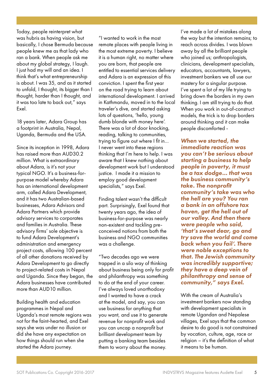Today, people reinterpret what was hubris as having vision, but basically, I chose Bermuda because people knew me as that lady who ran a bank. When people ask me about my global strategy, I laugh. I just had my will and an idea. I think that's what entrepreneurship is about. I was 35, and as it started to unfold, I thought, its bigger than I thought, harder than I thought, and it was too late to back out," says Exel.

18 years later, Adara Group has a footprint in Australia, Nepal, Uganda, Bermuda and the USA.

Since its inception in 1998, Adara has raised more than AUD30.2 million. What is extraordinary about Adara, is it's not your typical NGO. It's a business-forpurpose model whereby Adara has an international development arm, called Adara Development, and it has two Australian-based businesses, Adara Advisors and Adara Partners which provide advisory services to corporates and families in Australia. These advisory firms' sole objective is to fund Adara Development's administration and emergency project costs, allowing 100 percent of all other donations received by Adara Development to go directly to project-related costs in Nepal and Uganda. Since they began, the Adara businesses have contributed more than AUD10 million.

Building health and education programmes in Nepal and Uganda's most remote regions was not for the faint-hearted, and Exel says she was under no illusion or did she have any expectation on how things should run when she started the Adara journey.

"I wanted to work in the most remote places with people living in the most extreme poverty. I believe it is a human right, no matter where you are born, that people are entitled to essential services delivery and Adara is an expression of this conviction. I spent the first year on the road trying to learn about international development. I arrived in Kathmandu, moved in to the local traveler's dive, and started asking lots of questions, 'hello, young dumb blonde with money here'. There was a lot of door knocking, reading, talking to communities, trying to figure out where I fit in… I never went into these regions thinking that I'm here to help. I was aware that I knew nothing about development work but I understood justice. I made it a mission to employ good development specialists," says Exel.

Finding talent wasn't the difficult part. Surprisingly, Exel found that twenty years ago, the idea of business-for-purpose was nearly non-existent and tackling preconceived notions from both the business and NGO communities was a challenge.

"Two decades ago we were trapped in a silo way of thinking about business being only for profit and philanthropy was something to do at the end of your career. I've always loved unorthodoxy and I wanted to have a crack at the model, and say, you can use business for anything that you want, and use it to generate revenue for nonprofit work and you can uncap a nonprofit but brilliant development team by putting a banking team besides them to worry about the money.

I've made a lot of mistakes along the way but the intention remains; to reach across divides. I was blown away by all the brilliant people who joined us; anthropologists, clinicians, development specialists, educators, accountants, lawyers, investment bankers we all use our mastery for a singular purpose. I've spent a lot of my life trying to bring down the borders in my own thinking. I am still trying to do that. When you work in out-of-construct models, the trick is to drop borders around thinking and it can make people discomforted -

*When we started, the immediate reaction was you can't be serious about starting a business to help people in poverty, it must be a tax dodge… that was the business community's take. The nonprofit community's take was who the hell are you? You ran a bank in an offshore tax haven, get the hell out of our valley. And then there were people who said, 'that's sweet dear, go and try save the world and come back when you fail'. There were noble exceptions to that. The Jewish community was incredibly supportive; they have a deep vein of philanthropy and sense of community," says Exel.* 

With the cream of Australia's investment bankers now standing with development specialists in remote Ugandan and Nepalese villages, Exel says that the common desire to do good is not constrained by vocation, culture, age, race or religion – it's the definition of what it means to be human.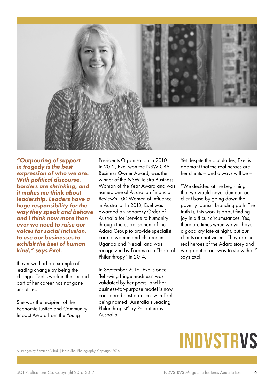

*"Outpouring of support in tragedy is the best expression of who we are. With political discourse, borders are shrinking, and it makes me think about leadership. Leaders have a huge responsibility for the way they speak and behave and I think now more than ever we need to raise our voices for social inclusion, to use our businesses to exhibit the best of human kind," says Exel.*

If ever we had an example of leading change by being the change, Exel's work in the second part of her career has not gone unnoticed.

She was the recipient of the Economic Justice and Community Impact Award from the Young

Presidents Organisation in 2010. In 2012, Exel won the NSW CBA Business Owner Award, was the winner of the NSW Telstra Business Woman of the Year Award and was named one of Australian Financial Review's 100 Women of Influence in Australia. In 2013, Exel was awarded an honorary Order of Australia for 'service to humanity through the establishment of the Adara Group to provide specialist care to women and children in Uganda and Nepal' and was recognized by Forbes as a "Hero of Philanthropy" in 2014.

In September 2016, Exel's once 'left-wing fringe madness' was validated by her peers, and her business-for-purpose model is now considered best practice, with Exel being named "Australia's Leading Philanthropist" by Philanthropy Australia.

Yet despite the accolades, Exel is adamant that the real heroes are her clients – and always will be –

"We decided at the beginning that we would never demean our client base by going down the poverty tourism branding path. The truth is, this work is about finding joy in difficult circumstances. Yes, there are times when we will have a good cry late at night, but our clients are not victims. They are the real heroes of the Adara story and we go out of our way to show that," says Exel.

## **INDVSTRVS**

All images by Sammer Allfridi | Hero Shot Photography. Copyright 2016.